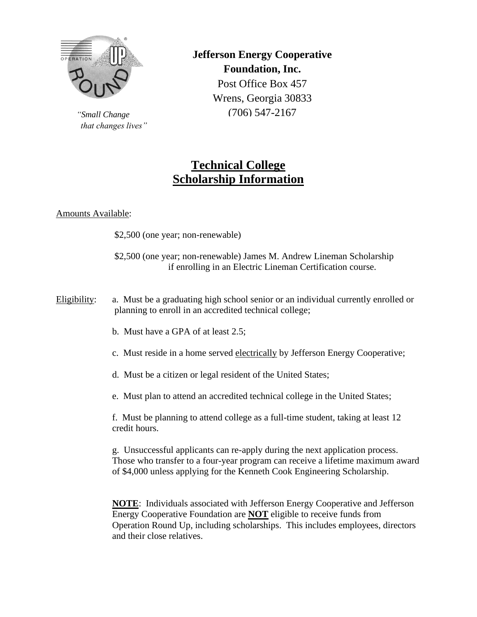

*"Small Change that changes lives"* **Jefferson Energy Cooperative Foundation, Inc.** Post Office Box 457 Wrens, Georgia 30833 (706) 547-2167

# **Technical College Scholarship Information**

## Amounts Available:

\$2,500 (one year; non-renewable)

\$2,500 (one year; non-renewable) James M. Andrew Lineman Scholarship if enrolling in an Electric Lineman Certification course.

Eligibility: a. Must be a graduating high school senior or an individual currently enrolled or planning to enroll in an accredited technical college;

- b. Must have a GPA of at least 2.5;
- c. Must reside in a home served electrically by Jefferson Energy Cooperative;
- d. Must be a citizen or legal resident of the United States;
- e. Must plan to attend an accredited technical college in the United States;

f. Must be planning to attend college as a full-time student, taking at least 12 credit hours.

g. Unsuccessful applicants can re-apply during the next application process. Those who transfer to a four-year program can receive a lifetime maximum award of \$4,000 unless applying for the Kenneth Cook Engineering Scholarship.

**NOTE**: Individuals associated with Jefferson Energy Cooperative and Jefferson Energy Cooperative Foundation are **NOT** eligible to receive funds from Operation Round Up, including scholarships. This includes employees, directors and their close relatives.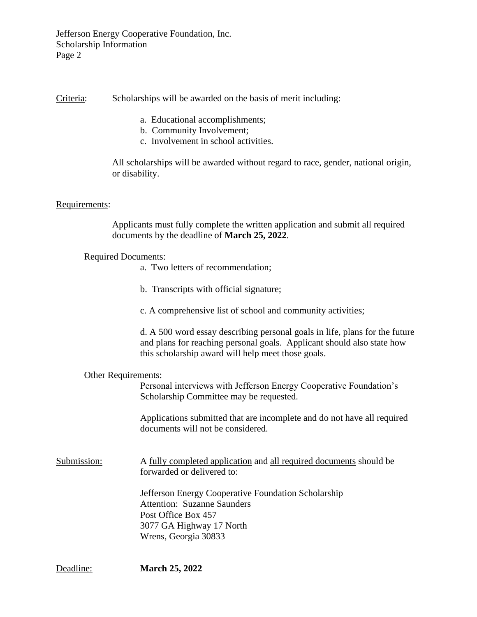Jefferson Energy Cooperative Foundation, Inc. Scholarship Information Page 2

Criteria: Scholarships will be awarded on the basis of merit including:

- a. Educational accomplishments;
- b. Community Involvement;
- c. Involvement in school activities.

All scholarships will be awarded without regard to race, gender, national origin, or disability.

#### Requirements:

Applicants must fully complete the written application and submit all required documents by the deadline of **March 25, 2022**.

Required Documents:

- a. Two letters of recommendation;
- b. Transcripts with official signature;
- c. A comprehensive list of school and community activities;

d. A 500 word essay describing personal goals in life, plans for the future and plans for reaching personal goals. Applicant should also state how this scholarship award will help meet those goals.

#### Other Requirements:

Personal interviews with Jefferson Energy Cooperative Foundation's Scholarship Committee may be requested.

Applications submitted that are incomplete and do not have all required documents will not be considered.

Submission: A fully completed application and all required documents should be forwarded or delivered to:

> Jefferson Energy Cooperative Foundation Scholarship Attention: Suzanne Saunders Post Office Box 457 3077 GA Highway 17 North Wrens, Georgia 30833

Deadline: **March 25, 2022**